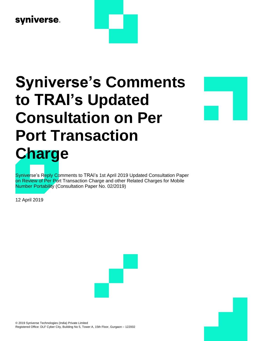## syniverse.

# **Syniverse's Comments to TRAI's Updated Consultation on Per Port Transaction Charge**

Syniverse's Reply Comments to TRAI's 1st April 2019 Updated Consultation Paper on Review of Per Port Transaction Charge and other Related Charges for Mobile Number Portability (Consultation Paper No. 02/2019)

12 April 2019



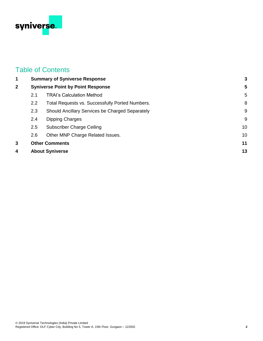

### Table of Contents

| 1            | <b>Summary of Syniverse Response</b><br><b>Syniverse Point by Point Response</b> |                                                 | 3  |
|--------------|----------------------------------------------------------------------------------|-------------------------------------------------|----|
| $\mathbf{2}$ |                                                                                  |                                                 | 5  |
|              | 2.1                                                                              | <b>TRAI's Calculation Method</b>                | 5  |
|              | $2.2^{\circ}$                                                                    | Total Requests vs. Successfully Ported Numbers. | 8  |
|              | 2.3                                                                              | Should Ancillary Services be Charged Separately | 9  |
|              | 2.4                                                                              | Dipping Charges                                 | 9  |
|              | 2.5                                                                              | <b>Subscriber Charge Ceiling</b>                | 10 |
|              | 2.6                                                                              | Other MNP Charge Related Issues.                | 10 |
| 3            | <b>Other Comments</b>                                                            |                                                 | 11 |
| 4            | <b>About Syniverse</b>                                                           |                                                 | 13 |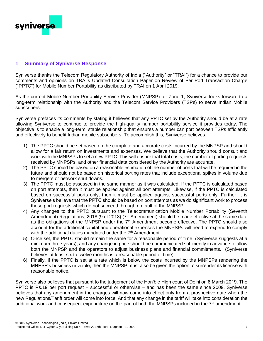

#### <span id="page-2-0"></span>**1 Summary of Syniverse Response**

Syniverse thanks the Telecom Regulatory Authority of India ("Authority" or "TRAI") for a chance to provide our comments and opinions on TRAI's Updated Consultation Paper on Review of Per Port Transaction Charge ("PPTC") for Mobile Number Portability as distributed by TRAI on 1 April 2019.

As the current Mobile Number Portability Service Provider (MNPSP) for Zone 1, Syniverse looks forward to a long-term relationship with the Authority and the Telecom Service Providers (TSPs) to serve Indian Mobile subscribers.

Syniverse prefaces its comments by stating it believes that any PPTC set by the Authority should be at a rate allowing Syniverse to continue to provide the high-quality number portability service it provides today. The objective is to enable a long-term, stable relationship that ensures a number can port between TSPs efficiently and effectively to benefit Indian mobile subscribers. To accomplish this, Syniverse believes:

- 1) The PPTC should be set based on the complete and accurate costs incurred by the MNPSP and should allow for a fair return on investments and expenses. We believe that the Authority should consult and work with the MNPSPs to set a new PPTC. This will ensure that total costs, the number of porting requests received by MNPSPs, and other financial data considered by the Authority are accurate.
- 2) The PPTC should be based on a reasonable estimation of the number of ports that will be required in the future and should not be based on historical porting rates that include exceptional spikes in volume due to mergers or network shut downs.
- 3) The PPTC must be assessed in the same manner as it was calculated. If the PPTC is calculated based on port attempts, then it must be applied against all port attempts. Likewise, if the PPTC is calculated based on successful ports only, then it must be applied against successful ports only. Further, it is Syniverse's believe that the PPTC should be based on port attempts as we do significant work to process those port requests which do not succeed through no fault of the MNPSP.
- 4) Any changes to the PPTC pursuant to the Telecommunication Mobile Number Portability (Seventh Amendment) Regulations, 2018 (9 of 2018) (7<sup>th</sup> Amendment) should be made effective at the same date as the obligations of the MNPSP under the 7<sup>th</sup> Amendment become effective. The PPTC should also account for the additional capital and operational expenses the MNPSPs will need to expend to comply with the additional duties mandated under the  $7<sup>th</sup>$  Amendment.
- 5) Once set, the PPTC should remain the same for a reasonable period of time, (Syniverse suggests at a minimum three years), and any change in price should be communicated sufficiently in advance to allow both the MNPSP and the operators to adjust business plans and financial commitments. (Syniverse believes at least six to twelve months is a reasonable period of time).
- 6) Finally, if the PPTC is set at a rate which is below the costs incurred by the MNPSPs rendering the MNPSP's business unviable, then the MNPSP must also be given the option to surrender its license with reasonable notice.

Syniverse also believes that pursuant to the judgement of the Hon'ble High court of Delhi on 8 March 2019. The PPTC is Rs.19 per port request – successful or otherwise – and has been the same since 2009. Syniverse believes that any amendment in the charges will now come into effect only from a prospective date when the new Regulations/Tariff order will come into force. And that any change in the tariff will take into consideration the additional work and consequent expenditure on the part of both the MNPSPs included in the  $7<sup>th</sup>$  amendment.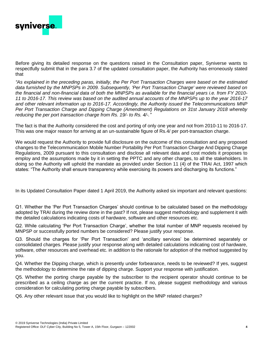

Before giving its detailed response on the questions raised in the Consultation paper, Syniverse wants to respectfully submit that in the para 3.7 of the updated consultation paper, the Authority has erroneously stated that

*"As explained in the preceding paras, initially, the Per Port Transaction Charges were based on the estimated data furnished by the MNPSPs in 2009. Subsequently, 'Per Port Transaction Charge' were reviewed based on the financial and non-financial data of both the MNPSPs as available for the financial years i.e. from FY 2010- 11 to 2016-17. This review was based on the audited annual accounts of the MNPSPs up to the year 2016-17 and other relevant information up to 2016-17. Accordingly, the Authority issued the Telecommunications MNP Per Port Transaction Charge and Dipping Charge (Amendment) Regulations on 31st January 2018 whereby reducing the per port transaction charge from Rs. 19/- to Rs. 4/-."*

The fact is that the Authority considered the cost and porting of only one year and not from 2010-11 to 2016-17. This was one major reason for arriving at an un-sustainable figure of Rs.4/ per port-transaction charge.

We would request the Authority to provide full disclosure on the outcome of this consultation and any proposed changes to the Telecommunication Mobile Number Portability Per Port Transaction Charge And Dipping Charge Regulations, 2009 pursuant to this consultation and disclose all relevant data and cost models it proposes to employ and the assumptions made by it in setting the PPTC and any other charges, to all the stakeholders. In doing so the Authority will uphold the mandate as provided under Section 11 (4) of the TRAI Act, 1997 which states: "The Authority shall ensure transparency while exercising its powers and discharging its functions."

In its Updated Consultation Paper dated 1 April 2019, the Authority asked six important and relevant questions:

Q1. Whether the 'Per Port Transaction Charges' should continue to be calculated based on the methodology adopted by TRAI during the review done in the past? If not, please suggest methodology and supplement it with the detailed calculations indicating costs of hardware, software and other resources etc.

Q2. While calculating 'Per Port Transaction Charge', whether the total number of MNP requests received by MNPSP or successfully ported numbers be considered? Please justify your response.

Q3. Should the charges for 'Per Port Transaction' and 'ancillary services' be determined separately or consolidated charges. Please justify your response along with detailed calculations indicating cost of hardware, software, other resources and overhead etc. in addition to the rationale for adoption of the method suggested by you.

Q4. Whether the Dipping charge, which is presently under forbearance, needs to be reviewed? If yes, suggest the methodology to determine the rate of dipping charge. Support your response with justification.

Q5. Whether the porting charge payable by the subscriber to the recipient operator should continue to be prescribed as a ceiling charge as per the current practice. If no, please suggest methodology and various consideration for calculating porting charge payable by subscribers.

Q6. Any other relevant issue that you would like to highlight on the MNP related charges?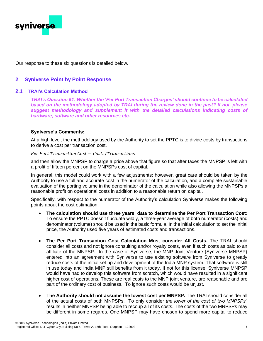

Our response to these six questions is detailed below.

#### <span id="page-4-0"></span>**2 Syniverse Point by Point Response**

#### <span id="page-4-1"></span>**2.1 TRAI's Calculation Method**

*TRAI's Question #1: Whether the 'Per Port Transaction Charges' should continue to be calculated based on the methodology adopted by TRAI during the review done in the past? If not, please suggest methodology and supplement it with the detailed calculations indicating costs of hardware, software and other resources etc.*

#### **Syniverse's Comments:**

At a high level, the methodology used by the Authority to set the PPTC is to divide costs by transactions to derive a cost per transaction cost.

#### Per Port Transaction  $Cost = Costs / Transactions$

and then allow the MNPSP to charge a price above that figure so that after taxes the MNPSP is left with a profit of fifteen percent on the MNPSPs cost of capital.

In general, this model could work with a few adjustments; however, great care should be taken by the Authority to use a full and accurate cost in the numerator of the calculation, and a complete sustainable evaluation of the porting volume in the denominator of the calculation while also allowing the MNPSPs a reasonable profit on operational costs in addition to a reasonable return on capital.

Specifically, with respect to the numerator of the Authority's calculation Syniverse makes the following points about the cost estimation:

- **The calculation should use three years' data to determine the Per Port Transaction Cost:**  To ensure the PPTC doesn't fluctuate wildly, a three-year average of both numerator (costs) and denominator (volume) should be used in the basic formula. In the initial calculation to set the initial price, the Authority used five years of estimated costs and transactions.
- **The Per Port Transaction Cost Calculation Must consider All Costs.** The TRAI should consider all costs and not ignore consulting and/or royalty costs, even if such costs as paid to an affiliate of the MNPSP. In the case of Syniverse, the MNP Joint Venture (Syniverse MNPSP) entered into an agreement with Syniverse to use existing software from Syniverse to greatly reduce costs of the initial set up and development of the India MNP system. That software is still in use today and India MNP still benefits from it today. If not for this license, Syniverse MNPSP would have had to develop this software from scratch, which would have resulted in a significant higher cost of operations. These are real costs to the MNP joint venture, are reasonable and are part of the ordinary cost of business. To ignore such costs would be unjust.
- T**he Authority should not assume the lowest cost per MNPSP.** The TRAI should consider all of the actual costs of both MNPSPs. To only consider *the lower of the cost of two MNPSPs*" results in neither MNPSP being able to recoup all of its costs. The costs of the two MNPSPs may be different in some regards. One MNPSP may have chosen to spend more capital to reduce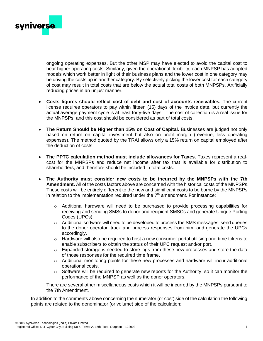

ongoing operating expenses. But the other MSP may have elected to avoid the capital cost to bear higher operating costs. Similarly, given the operational flexibility, each MNPSP has adopted models which work better in light of their business plans and the lower cost in one category may be driving the costs up in another category. By selectively picking the lower cost for each category of cost may result in total costs that are below the actual total costs of both MNPSPs. Artificially reducing prices in an unjust manner.

- **Costs figures should reflect cost of debt and cost of accounts receivables.** The current license requires operators to pay within fifteen (15) days of the invoice date, but currently the actual average payment cycle is at least forty-five days. The cost of collection is a real issue for the MNPSPs, and this cost should be considered as part of total costs.
- The Return Should be Higher than 15% on Cost of Capital. Businesses are judged not only based on return on capital investment but also on profit margin (revenue, less operating expenses). The method quoted by the TRAI allows only a 15% return on capital employed after the deduction of costs.
- **The PPTC calculation method must include allowances for Taxes.** Taxes represent a realcost for the MNPSPs and reduce net income after tax that is available for distribution to shareholders, and therefore should be included in total costs.
- **The Authority must consider new costs to be incurred by the MNPSPs with the 7th Amendment.** All of the costs factors above are concerned with the historical costs of the MNPSPs. These costs will be entirely different to the new and significant costs to be borne by the MNPSPs in relation to the implementation required under the  $7<sup>th</sup>$  amendment. For instance:
	- o Additional hardware will need to be purchased to provide processing capabilities for receiving and sending SMSs to donor and recipient SMSCs and generate Unique Porting Codes (UPCs).
	- $\circ$  Additional software will need to be developed to process the SMS messages, send queries to the donor operator, track and process responses from him, and generate the UPCs accordingly.
	- o Hardware will also be required to host a new consumer portal utilising one-time tokens to enable subscribers to obtain the status of their UPC request and/or port.
	- $\circ$  Expanded storage is needed to store logs from these new processes and store the data of those responses for the required time frame.
	- o Additional monitoring points for these new processes and hardware will incur additional operational costs.
	- o Software will be required to generate new reports for the Authority, so it can monitor the performance of the MNPSP as well as the donor operators.

There are several other miscellaneous costs which it will be incurred by the MNPSPs pursuant to the 7th Amendment.

In addition to the comments above concerning the numerator (or cost) side of the calculation the following points are related to the denominator (or volume) side of the calculation: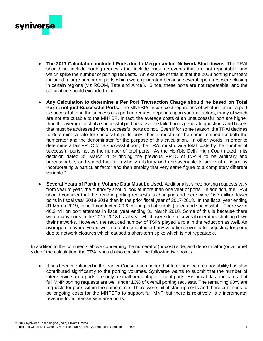

- **The 2017 Calculation included Ports due to Merger and/or Network Shut downs.** The TRAI should not include porting requests that include one-time events that are not repeatable, and which spike the number of porting requests. An example of this is that the 2018 porting numbers included a large number of ports which were generated because several operators were closing in certain regions (viz RCOM, Tata and Aircel). Since, these ports are not repeatable, and the calculation should exclude them.
- **Any Calculation to determine a Per Port Transaction Charge should be based on Total Ports, not just Successful Ports.** The MNPSPs incurs cost regardless of whether or not a port is successful, and the success of a porting request depends upon various factors, many of which are not attributable to the MNPSP. In fact, the average costs of an unsuccessful port are higher than the average cost of a successful port because the failed ports generate questions and tickets that must be addressed which successful ports do not. Even if for some reason, the TRAI decides to determine a rate for successful ports only, then it must use the same method for both the numerator and the denominator for the purpose of this calculation. In other words, in order to determine a fair PPTC for a successful port, the TRAI must divide total costs by the number of successful ports not by the number of total ports. As the Hon'ble Delhi High Court noted in its decision dated  $8<sup>th</sup>$  March 2019 finding the previous PPTC of INR 4 to be arbitrary and unreasonable, and stated that "it is wholly arbitrary and unreasonable to arrive at a figure by incorporating a particular factor and then employ that very same figure to a completely different variable."
- **Several Years of Porting Volume Data Must be Used.** Additionally, since porting requests vary from year to year, the Authority should look at more than one year of ports. In addition, the TRAI should consider that the trend in porting requests is changing and there were 16.7 million fewer ports in fiscal year 2018-2019 than in the prior fiscal year of 2017-2018. In the fiscal year ending 31 March 2019, zone 1 conducted 29.6 million port attempts (failed and successful). There were 46.2 million port attempts in fiscal year ending 31 March 2018. Some of this is because there were many ports in the 2017-2018 fiscal year which were due to several operators shutting down their networks. However, the reduced number of TSPs played a role in the reduction as well. An average of several years' worth of data smooths out any variations even after adjusting for ports due to network closures which caused a short-term spike which is not repeatable.

In addition to the comments above concerning the numerator (or cost) side, and denominator (or volume) side of the calculation, the TRAI should also consider the following two points:

• It has been mentioned in the earlier Consultation paper that Inter-service area portability has also contributed significantly to the porting volumes. Syniverse wants to submit that the number of inter-service area ports are only a small percentage of total ports. Historical data indicates that full MNP porting requests are well under 10% of overall porting requests. The remaining 90% are requests for ports within the same circle. There were initial start up costs and there continues to be ongoing costs for the MNPSPs to support full MNP but there is relatively little incremental revenue from inter-service area ports.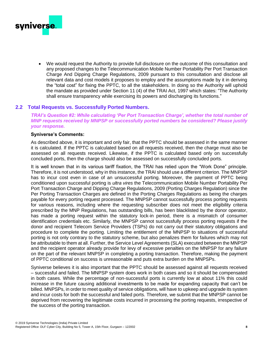

<span id="page-7-0"></span>• We would request the Authority to provide full disclosure on the outcome of this consultation and any proposed changes to the Telecommunication Mobile Number Portability Per Port Transaction Charge And Dipping Charge Regulations, 2009 pursuant to this consultation and disclose all relevant data and cost models it proposes to employ and the assumptions made by it in deriving the "total cost" for fixing the PPTC, to all the stakeholders. In doing so the Authority will uphold the mandate as provided under Section 11 (4) of the TRAI Act, 1997 which states: "The Authority shall ensure transparency while exercising its powers and discharging its functions."

#### **2.2 Total Requests vs. Successfully Ported Numbers.**

*TRAI's Question #2: While calculating 'Per Port Transaction Charge', whether the total number of MNP requests received by MNPSP or successfully ported numbers be considered? Please justify your response.*

#### **Syniverse's Comments:**

As described above, it is important and only fair, that the PPTC should be assessed in the same manner it is calculated. If the PPTC is calculated based on all requests received, then the charge must also be assessed on all requests received. Likewise, if the PPTC is calculated based only on successfully concluded ports, then the charge should also be assessed on successfully concluded ports.

It is well known that in its various tariff fixation, the TRAI has relied upon the "Work Done" principle. Therefore, it is not understood, why in this instance, the TRAI should use a different criterion. The MNPSP has to incur cost even in case of an unsuccessful porting. Moreover, the payment of PPTC being conditioned upon successful porting is *ultra vires* the Telecommunication Mobile Number Portability Per Port Transaction Charge and Dipping Charge Regulations, 2009 (Porting Charges Regulation) since the Per Porting Transaction Charges are defined in the Porting Charges Regulations as being the charges payable for every porting request processed. The MNPSP cannot successfully process porting requests for various reasons, including where the requesting subscriber does not meet the eligibility criteria prescribed by the MNP Regulations, has outstanding bills, has been blacklisted by the donor operator, has made a porting request within the statutory lock-in period, there is a mismatch of consumer identification credentials etc. Similarly, the MNPSP cannot successfully process porting requests if the donor and recipient Telecom Service Providers (TSPs) do not carry out their statutory obligations and procedure to complete the porting. Limiting the entitlement of the MNPSP to situations of successful porting is not only contrary to the statutory scheme, but also penalizes them for failures which may not be attributable to them at all. Further, the Service Level Agreements (SLA) executed between the MNPSP and the recipient operator already provide for levy of excessive penalties on the MNPSP for any failure on the part of the relevant MNPSP in completing a porting transaction. Therefore, making the payment of PPTC conditional on success is unreasonable and puts extra burden on the MNPSPs.

Syniverse believes it is also important that the PPTC should be assessed against all requests received – successful and failed. The MNPSP system does work in both cases and so it should be compensated in both cases. While the percentage of non-successful ports is currently low at about 11% this could increase in the future causing additional investments to be made for expanding capacity that can't be billed. MNPSPs, in order to meet quality of service obligations, will have to upkeep and upgrade its system and incur costs for both the successful and failed ports. Therefore, we submit that the MNPSP cannot be deprived from recovering the legitimate costs incurred in processing the porting requests, irrespective of the success of the porting transaction.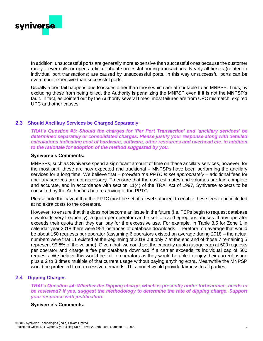

In addition, unsuccessful ports are generally more expensive than successful ones because the customer rarely if ever calls or opens a ticket about successful porting transactions. Nearly all tickets (related to individual port transactions) are caused by unsuccessful ports. In this way unsuccessful ports can be even more expensive than successful ports.

Usually a port fail happens due to issues other than those which are attributable to an MNPSP. Thus, by excluding these from being billed, the Authority is penalizing the MNPSP even if it is not the MNPSP's fault. In fact, as pointed out by the Authority several times, most failures are from UPC mismatch, expired UPC and other causes.

#### <span id="page-8-0"></span>**2.3 Should Ancillary Services be Charged Separately**

*TRAI's Question #3: Should the charges for 'Per Port Transaction' and 'ancillary services' be determined separately or consolidated charges. Please justify your response along with detailed calculations indicating cost of hardware, software, other resources and overhead etc. in addition to the rationale for adoption of the method suggested by you.*

#### **Syniverse's Comments:**

MNPSPs, such as Syniverse spend a significant amount of time on these ancillary services, however, for the most part, these are now expected and traditional – MNPSPs have been performing the ancillary services for a long time. We believe that – *provided the PPTC is set appropriately* – additional fees for ancillary services are not necessary. To ensure that the cost estimates and volumes are fair, complete and accurate, and in accordance with section 11(4) of the TRAI Act of 1997, Syniverse expects to be consulted by the Authorities before arriving at the PPTC.

Please note the caveat that the PPTC must be set at a level sufficient to enable these fees to be included at no extra costs to the operators.

However, to ensure that this does not become an issue in the future (i.e. TSPs begin to request database downloads very frequently), a quota per operator can be set to avoid egregious abuses. If any operator exceeds their quota then they can pay for the excessive use. For example, in Table 3.5 for Zone 1 in calendar year 2018 there were 954 instances of database downloads. Therefore, on average that would be about 150 requests per operator (assuming 6 operators existed on average during 2018 – the actual numbers were that 11 existed at the beginning of 2018 but only 7 at the end and of those 7 remaining 5 represent 99.8% of the volume). Given that, we could set the capacity quota (usage cap) at 500 requests per operator and charge a fee per database download if a carrier exceeds its individual cap of 500 requests. We believe this would be fair to operators as they would be able to enjoy their current usage plus a 2 to 3 times multiple of that current usage without paying anything extra. Meanwhile the MNPSP would be protected from excessive demands. This model would provide fairness to all parties.

#### <span id="page-8-1"></span>**2.4 Dipping Charges**

*TRAI's Question #4: Whether the Dipping charge, which is presently under forbearance, needs to be reviewed? If yes, suggest the methodology to determine the rate of dipping charge. Support your response with justification.*

#### **Syniverse's Comments:**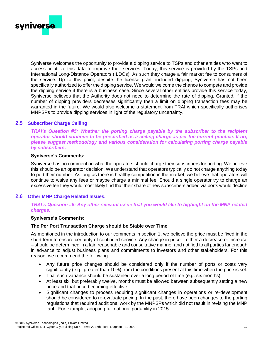

Syniverse welcomes the opportunity to provide a dipping service to TSPs and other entities who want to access or utilize this data to improve their services. Today, this service is provided by the TSPs and International Long-Distance Operators (ILDOs). As such they charge a fair market fee to consumers of the service. Up to this point, despite the license grant included dipping, Syniverse has not been specifically authorized to offer the dipping service. We would welcome the chance to compete and provide the dipping service if there is a business case. Since several other entities provide this service today, Syniverse believes that the Authority does not need to determine the rate of dipping. Granted, if the number of dipping providers decreases significantly then a limit on dipping transaction fees may be warranted in the future. We would also welcome a statement from TRAI which specifically authorises MNPSPs to provide dipping services in light of the regulatory uncertainty.

#### <span id="page-9-0"></span>**2.5 Subscriber Charge Ceiling**

*TRAI's Question #5: Whether the porting charge payable by the subscriber to the recipient operator should continue to be prescribed as a ceiling charge as per the current practice. If no, please suggest methodology and various consideration for calculating porting charge payable by subscribers.*

#### **Syniverse's Comments:**

Syniverse has no comment on what the operators should charge their subscribers for porting. We believe this should be an operator decision. We understand that operators typically do not charge anything today to port their number. As long as there is healthy competition in the market, we believe that operators will continue to waive any fees or maybe charge a minimal fee. Should a single operator try to charge an excessive fee they would most likely find that their share of new subscribers added via ports would decline.

#### <span id="page-9-1"></span>**2.6 Other MNP Charge Related Issues.**

#### *TRAI's Question #6: Any other relevant issue that you would like to highlight on the MNP related charges.*

#### **Syniverse's Comments:**

#### **The Per Port Transaction Charge should be Stable over Time**

As mentioned in the introduction to our comments in section 1, we believe the price must be fixed in the short term to ensure certainty of continued service. Any change in price – either a decrease or increase – should be determined in a fair, reasonable and consultative manner and notified to all parties far enough in advance to adjust business plans and commitments to investors and other stakeholders. For this reason, we recommend the following:

- Any future price changes should be considered only if the number of ports or costs vary significantly (e.g., greater than 10%) from the conditions present at this time when the price is set.
- That such variance should be sustained over a long period of time (e.g. six months)
- At least six, but preferably twelve, months must be allowed between subsequently setting a new price and that price becoming effective.
- Significant changes to process requiring significant changes in operations or re-development should be considered to re-evaluate pricing. In the past, there have been changes to the porting regulations that required additional work by the MNPSPs which did not result in revising the MNP tariff. For example, adopting full national portability in 2015.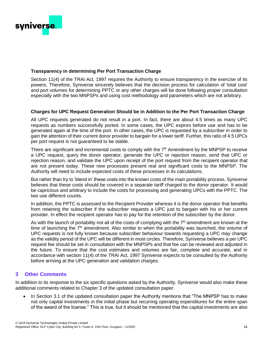

#### **Transparency in determining Per Port Transaction Charge**

Section 11(4) of the TRAI Act, 1997 requires the Authority to ensure transparency in the exercise of its powers. Therefore, Syniverse sincerely believes that the decision process for calculation of 'total cost' and port volumes for determining PPTC or any other charges will be done following proper consultation especially with the two MNPSPs and using cost methodology and parameters which are not arbitrary.

#### **Charges for UPC Request Generation Should be in Addition to the Per Port Transaction Charge**

All UPC requests generated do not result in a port. In fact, there are about 4.5 times as many UPC requests as numbers successfully ported. In some cases, the UPC expires before use and has to be generated again at the time of the port. In other cases, the UPC is requested by a subscriber in order to gain the attention of their current donor provider to bargain for a lower tariff. Further, this ratio of 4.5 UPCs per port request is not guaranteed to be stable.

There are significant and incremental costs to comply with the 7<sup>th</sup> Amendment by the MNPSP to receive a UPC request, query the donor operator, generate the UPC or rejection reason, send that UPC or rejection reason, and validate the UPC upon receipt of the port request from the recipient operator that are not present today. These new processes present real and significant costs to the MNPSP. The Authority will need to include expected costs of these processes in its calculations.

But rather than try to 'blend in' these costs into the known costs of the main portability process, Syniverse believes that these costs should be covered in a separate tariff charged to the donor operator. It would be capricious and arbitrary to include the costs for processing and generating UPCs with the PPTC. The two use different counts.

In addition, the PPTC is assessed to the Recipient Provider whereas it is the donor operator that benefits from retaining the subscriber if the subscriber requests a UPC just to bargain with his or her current provider. In effect the recipient operator has to pay for the retention of the subscriber by the donor.

As with the launch of portability not all of the costs of complying with the  $7<sup>th</sup>$  amendment are known at the time of launching the  $7<sup>th</sup>$  amendment. Also similar to when the portability was launched, the volume of UPC requests is not fully known because subscriber behaviour towards requesting a UPC may change as the validity period of the UPC will be different in most circles. Therefore, Syniverse believes a per UPC request fee should be set in consultation with the MNPSPs and that fee can be reviewed and adjusted in the future. To ensure that the cost estimates and volumes are fair, complete and accurate, and in accordance with section 11(4) of the TRAI Act, 1997 Syniverse expects to be consulted by the Authority before arriving at the UPC generation and validation charges.

#### <span id="page-10-0"></span>**3 Other Comments**

In addition to its response to the six specific questions asked by the Authority, Syniverse would also make these additional comments related to Chapter 3 of the updated consultation paper.

In Section 3.1 of the updated consultation paper the Authority mentions that "The MNPSP has to make not only capital investments in the initial phase but recurring operating expenditures for the entire span of the award of the license." This is true, but it should be mentioned that the capital investments are also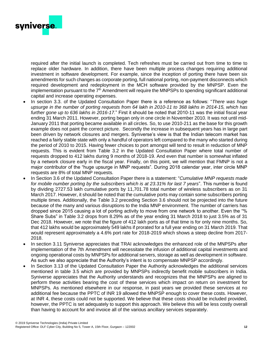

required after the initial launch is completed. Tech refreshes must be carried out from time to time to replace older hardware. In addition, there have been multiple process changes requiring additional investment in software development. For example, since the inception of porting there have been six amendments for such changes as corporate porting, full national porting, non-payment disconnects which required development and redeployment in the MCH software provided by the MNPSP. Even the implementation pursuant to the  $7<sup>th</sup>$  Amendment will require the MNPSPs to spending significant additional capital and increase operating expenses.

- In section 3.3. of the Updated Consultation Paper there is a reference as follows: "*There was huge upsurge in the number of porting requests from 64 lakh in 2010-11 to 368 lakhs in 2014-15, which has further gone up to 636 lakhs in 2016-17.*" First it should be noted that 2010-11 was the initial fiscal year ending 31 March 2011. However, porting began only in one circle in November 2010. It was not until mid-January 2011 that porting became available in all circles. So, to use 2010-211 as the base for this growth example does not paint the correct picture. Secondly the increase in subsequent years has in large part been driven by network closures and mergers. Syniverse's view is that the Indian telecom market has reached a fairly stable state with only a handful of operators left compared to the many who started during the period of 2010 to 2015. Having fewer choices to port amongst will tend to result in reduction of MNP requests. This is evident from Table 3.2 in the Updated Consultation Paper where total number of requests dropped to 412 lakhs during 9 months of 2018-19. And even that number is somewhat inflated by a network closure early in the fiscal year. Finally, on this point, we will mention that FMNP is not a major contributor of the "huge upsurge in MNP requests". During 2018 calendar year, inter circle MNP requests are 8% of total MNP requests.
- In Section 3.6 of the Updated Consultation Paper there is a statement: "*Cumulative MNP requests made for mobile number porting by the subscribers which is at 23.31% for last 7 years*". This number is found by dividing 2727.53 lakh cumulative ports by 11,701.78 total number of wireless subscribers as on 31 March 2017. However, it should be noted that the cumulative ports may contain some subscribers porting multiple times. Additionally, the Table 3.2 preceding Section 3.6 should not be projected into the future because of the many and various disruptions to the India MNP environment. The number of carriers has dropped since 2015 causing a lot of porting activity to move from one network to another. Even the "% Share Subs" in Table 3.2 drops from 8.29% as of the year ending 31 March 2018 to just 3.5% as of 31 Dec 2018. However, we note that the figure of 412 lakh ports as of that time is for only nine months. So, that 412 lakhs would be approximately 549 lakhs if prorated for a full year ending on 31 March 2019. That would represent approximately a 4.6% port rate for 2018-2019 which shows a steep decline from 2017- 2018.
- In section 3.11 Syniverse appreciates that TRAI acknowledges the enhanced role of the MNPSPs after implementation of the 7th Amendment will necessitate the infusion of additional capital investments and ongoing operational costs by MNPSPs for additional servers, storage as well as development in software. As such we also appreciate that the Authority's intent is to compensate MNPSP accordingly.
- In Section 3.13 of the Updated Consultation Paper the Authority acknowledges the additional services mentioned in table 3.5 which are provided by MNPSPs indirectly benefit mobile subscribers in India. Syniverse appreciates that the Authority understands and recognizes that the MNPSPs are aligned to perform these activities bearing the cost of these services which impact on return on investment for MNPSPs. As mentioned elsewhere in our response, in past years we provided these services at no additional fee because the PPTC of INR 19 allowed the MNPSP enough to cover these costs. However, at INR 4, these costs could not be supported. We believe that these costs should be included provided, however, the PPTC is set adequately to support this approach. We believe this will be less costly overall than having to account for and invoice all of the various ancillary services separately.